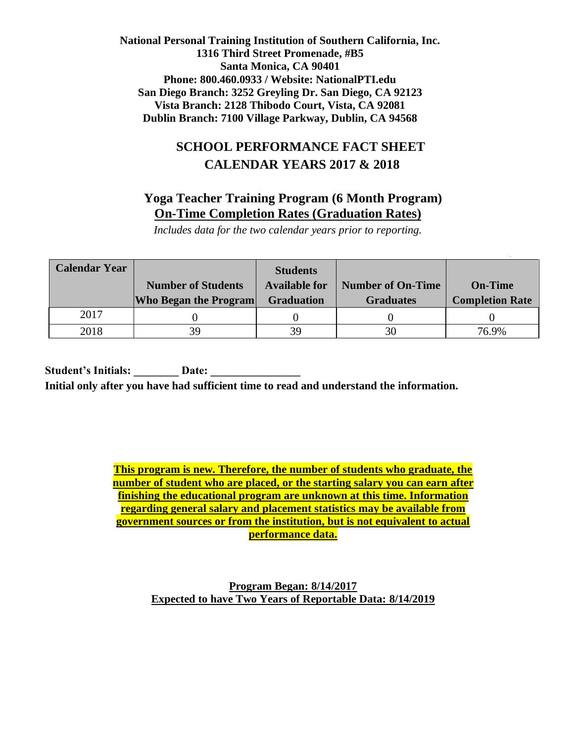# **SCHOOL PERFORMANCE FACT SHEET CALENDAR YEARS 2017 & 2018**

## **Yoga Teacher Training Program (6 Month Program) On-Time Completion Rates (Graduation Rates)**

*Includes data for the two calendar years prior to reporting.*

| <b>Calendar Year</b> |                              | <b>Students</b>      |                          |                        |
|----------------------|------------------------------|----------------------|--------------------------|------------------------|
|                      | <b>Number of Students</b>    | <b>Available for</b> | <b>Number of On-Time</b> | <b>On-Time</b>         |
|                      | <b>Who Began the Program</b> | <b>Graduation</b>    | <b>Graduates</b>         | <b>Completion Rate</b> |
| 2017                 |                              |                      |                          |                        |
| 2018                 | 39                           | 39                   | 30                       | 76.9%                  |

Student's Initials: Date:  **Initial only after you have had sufficient time to read and understand the information.**

> **This program is new. Therefore, the number of students who graduate, the number of student who are placed, or the starting salary you can earn after finishing the educational program are unknown at this time. Information regarding general salary and placement statistics may be available from government sources or from the institution, but is not equivalent to actual performance data.**

> > **Program Began: 8/14/2017 Expected to have Two Years of Reportable Data: 8/14/2019**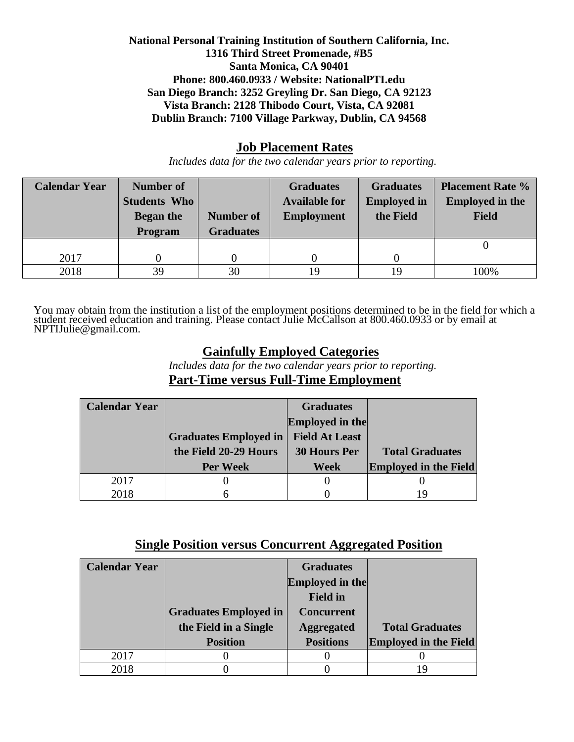### **Job Placement Rates**

*Includes data for the two calendar years prior to reporting.*

| <b>Calendar Year</b> | <b>Number of</b>    |                  | <b>Graduates</b>     | <b>Graduates</b>   | <b>Placement Rate %</b> |
|----------------------|---------------------|------------------|----------------------|--------------------|-------------------------|
|                      | <b>Students Who</b> |                  | <b>Available for</b> | <b>Employed in</b> | <b>Employed in the</b>  |
|                      | <b>Began the</b>    | <b>Number of</b> | <b>Employment</b>    | the Field          | <b>Field</b>            |
|                      | <b>Program</b>      | <b>Graduates</b> |                      |                    |                         |
|                      |                     |                  |                      |                    |                         |
| 2017                 |                     |                  |                      |                    |                         |
| 2018                 | 39                  | 30               | 19                   | 19                 | 100%                    |

You may obtain from the institution a list of the employment positions determined to be in the field for which a student received education and training. Please contact Julie McCallson at 800.460.0933 or by email at NPTIJulie@gmail.com.

## **Gainfully Employed Categories**

*Includes data for the two calendar years prior to reporting.* **Part-Time versus Full-Time Employment**

| <b>Calendar Year</b> |                              | <b>Graduates</b>       |                              |
|----------------------|------------------------------|------------------------|------------------------------|
|                      |                              | <b>Employed in the</b> |                              |
|                      | <b>Graduates Employed in</b> | <b>Field At Least</b>  |                              |
|                      | the Field 20-29 Hours        | <b>30 Hours Per</b>    | <b>Total Graduates</b>       |
|                      | <b>Per Week</b>              | Week                   | <b>Employed in the Field</b> |
| 2017                 |                              |                        |                              |
| 2018                 |                              |                        | 19                           |

## **Single Position versus Concurrent Aggregated Position**

| <b>Calendar Year</b> |                              | <b>Graduates</b>       |                              |
|----------------------|------------------------------|------------------------|------------------------------|
|                      |                              | <b>Employed in the</b> |                              |
|                      |                              | <b>Field in</b>        |                              |
|                      | <b>Graduates Employed in</b> | <b>Concurrent</b>      |                              |
|                      | the Field in a Single        | <b>Aggregated</b>      | <b>Total Graduates</b>       |
|                      | <b>Position</b>              | <b>Positions</b>       | <b>Employed in the Field</b> |
| 2017                 |                              |                        |                              |
| 2018                 |                              |                        |                              |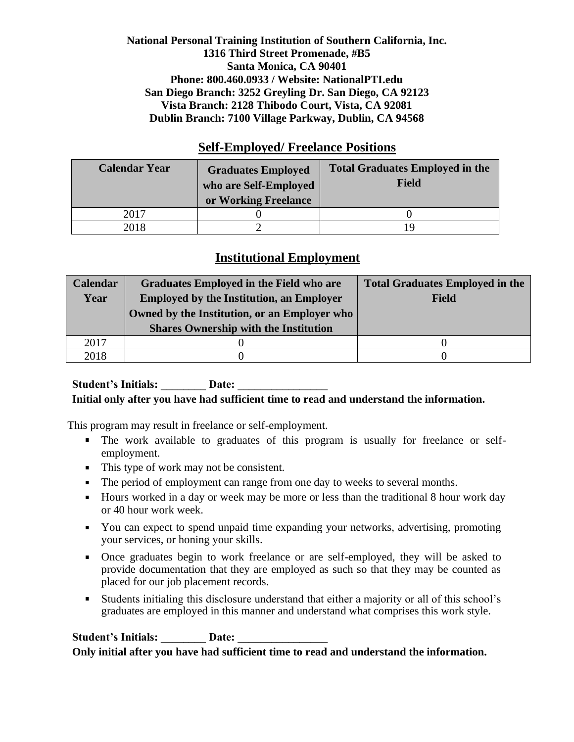### **Self-Employed/ Freelance Positions**

| <b>Calendar Year</b> | <b>Graduates Employed</b><br>who are Self-Employed<br>or Working Freelance | <b>Total Graduates Employed in the</b><br>Field |
|----------------------|----------------------------------------------------------------------------|-------------------------------------------------|
| 2017                 |                                                                            |                                                 |
| 2018                 |                                                                            |                                                 |

## **Institutional Employment**

| <b>Calendar</b> | Graduates Employed in the Field who are         | <b>Total Graduates Employed in the</b> |
|-----------------|-------------------------------------------------|----------------------------------------|
| Year            | <b>Employed by the Institution, an Employer</b> | Field                                  |
|                 | Owned by the Institution, or an Employer who    |                                        |
|                 | <b>Shares Ownership with the Institution</b>    |                                        |
| 2017            |                                                 |                                        |
| 2018            |                                                 |                                        |

#### Student's Initials: **Date:** Date: **Initial only after you have had sufficient time to read and understand the information.**

This program may result in freelance or self-employment.

- The work available to graduates of this program is usually for freelance or selfemployment.
- This type of work may not be consistent.
- The period of employment can range from one day to weeks to several months.
- Hours worked in a day or week may be more or less than the traditional 8 hour work day or 40 hour work week.
- You can expect to spend unpaid time expanding your networks, advertising, promoting your services, or honing your skills.
- Once graduates begin to work freelance or are self-employed, they will be asked to provide documentation that they are employed as such so that they may be counted as placed for our job placement records.
- Students initialing this disclosure understand that either a majority or all of this school's graduates are employed in this manner and understand what comprises this work style.

Student's Initials: Date: **Only initial after you have had sufficient time to read and understand the information.**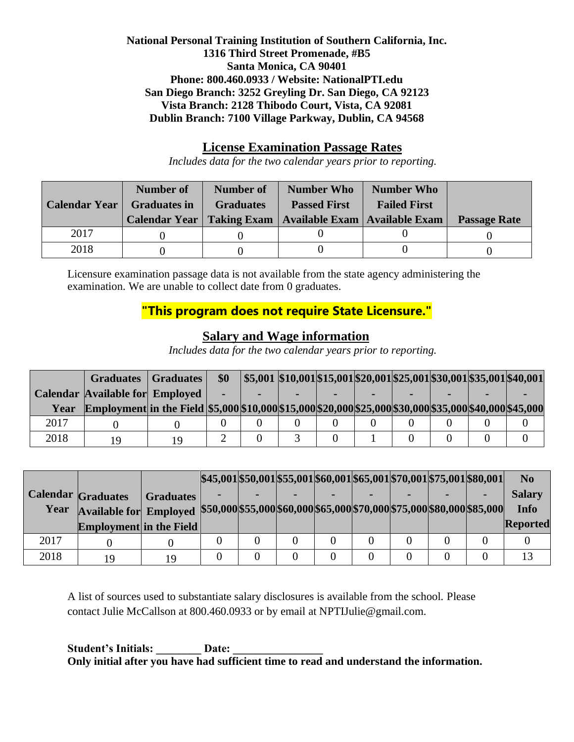### **License Examination Passage Rates**

*Includes data for the two calendar years prior to reporting.*

| <b>Calendar Year</b> | Number of<br><b>Graduates in</b> | Number of<br><b>Graduates</b> | <b>Number Who</b><br><b>Passed First</b><br>Calendar Year   Taking Exam   Available Exam   Available Exam | <b>Number Who</b><br><b>Failed First</b> | <b>Passage Rate</b> |  |
|----------------------|----------------------------------|-------------------------------|-----------------------------------------------------------------------------------------------------------|------------------------------------------|---------------------|--|
| 2017                 |                                  |                               |                                                                                                           |                                          |                     |  |
| 2018                 |                                  |                               |                                                                                                           |                                          |                     |  |

Licensure examination passage data is not available from the state agency administering the examination. We are unable to collect date from 0 graduates.

# **"This program does not require State Licensure."**

## **Salary and Wage information**

*Includes data for the two calendar years prior to reporting.*

|      | <b>Graduates</b>                                                                                        | <b>Graduates</b> | \$0 |  |  | $\vert$ \$5,001 \\$10,001\\$15,001\\$20,001\\$25,001\\$30,001\\$35,001\\$40,001 |  |
|------|---------------------------------------------------------------------------------------------------------|------------------|-----|--|--|---------------------------------------------------------------------------------|--|
|      | <b>Calendar Available for Employed</b>                                                                  |                  |     |  |  |                                                                                 |  |
| Year | Employment in the Field \$5,000 \$10,000 \$15,000 \$20,000 \$25,000 \$30,000 \$35,000 \$40,000 \$45,000 |                  |     |  |  |                                                                                 |  |
| 2017 |                                                                                                         |                  |     |  |  |                                                                                 |  |
| 2018 | 10                                                                                                      | 1 Q              |     |  |  |                                                                                 |  |

|      |                                                                                                |                  |  | $ \$45,001 \$50,001 \$55,001 \$60,001 \$65,001 \$70,001 \$75,001 \$80,001 $ |  |  | N <sub>0</sub> |
|------|------------------------------------------------------------------------------------------------|------------------|--|-----------------------------------------------------------------------------|--|--|----------------|
|      | <b>Calendar Graduates</b>                                                                      | <b>Graduates</b> |  |                                                                             |  |  | <b>Salary</b>  |
| Year | Available for Employed \$50,000 \$55,000 \$60,000 \$65,000 \$70,000 \$75,000 \$80,000 \$85,000 |                  |  |                                                                             |  |  | <b>Info</b>    |
|      | <b>Employment</b> in the Field                                                                 |                  |  |                                                                             |  |  | Reported       |
| 2017 |                                                                                                |                  |  |                                                                             |  |  |                |
| 2018 | 19                                                                                             | 19               |  |                                                                             |  |  | 13             |

A list of sources used to substantiate salary disclosures is available from the school. Please contact Julie McCallson at 800.460.0933 or by email at NPTIJulie@gmail.com.

Student's Initials: **Date: Only initial after you have had sufficient time to read and understand the information.**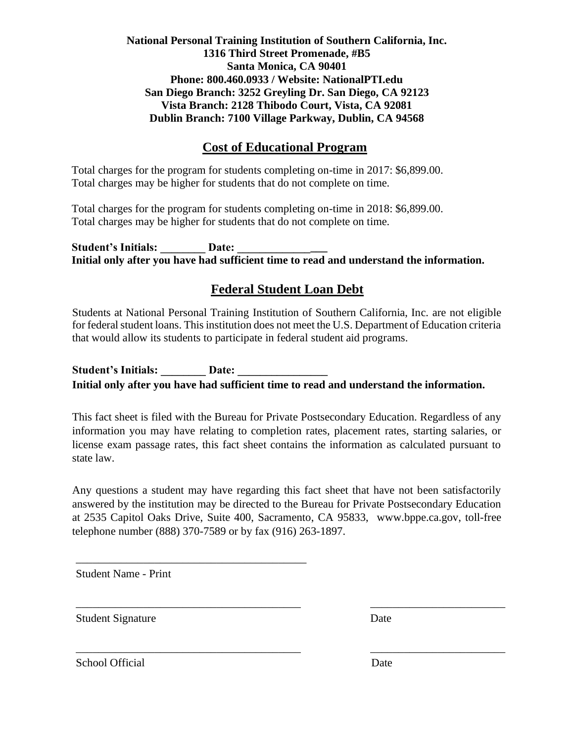## **Cost of Educational Program**

Total charges for the program for students completing on-time in 2017: \$6,899.00. Total charges may be higher for students that do not complete on time.

Total charges for the program for students completing on-time in 2018: \$6,899.00. Total charges may be higher for students that do not complete on time.

Student's Initials: Date: **Initial only after you have had sufficient time to read and understand the information.**

## **Federal Student Loan Debt**

Students at National Personal Training Institution of Southern California, Inc. are not eligible for federal student loans. This institution does not meet the U.S. Department of Education criteria that would allow its students to participate in federal student aid programs.

Student's Initials: \_\_\_\_\_\_\_\_ Date: \_\_\_\_\_\_\_\_\_\_ **Initial only after you have had sufficient time to read and understand the information.**

This fact sheet is filed with the Bureau for Private Postsecondary Education. Regardless of any information you may have relating to completion rates, placement rates, starting salaries, or license exam passage rates, this fact sheet contains the information as calculated pursuant to state law.

Any questions a student may have regarding this fact sheet that have not been satisfactorily answered by the institution may be directed to the Bureau for Private Postsecondary Education at 2535 Capitol Oaks Drive, Suite 400, Sacramento, CA 95833, [www.bppe.ca.gov,](http://www.bppe.ca.gov/) toll-free telephone number (888) 370-7589 or by fax (916) 263-1897.

\_\_\_\_\_\_\_\_\_\_\_\_\_\_\_\_\_\_\_\_\_\_\_\_\_\_\_\_\_\_\_\_\_\_\_\_\_\_\_\_ \_\_\_\_\_\_\_\_\_\_\_\_\_\_\_\_\_\_\_\_\_\_\_\_

\_\_\_\_\_\_\_\_\_\_\_\_\_\_\_\_\_\_\_\_\_\_\_\_\_\_\_\_\_\_\_\_\_\_\_\_\_\_\_\_ \_\_\_\_\_\_\_\_\_\_\_\_\_\_\_\_\_\_\_\_\_\_\_\_

Student Name - Print

\_\_\_\_\_\_\_\_\_\_\_\_\_\_\_\_\_\_\_\_\_\_\_\_\_\_\_\_\_\_\_\_\_\_\_\_\_\_\_\_\_

Student Signature Date

School Official Date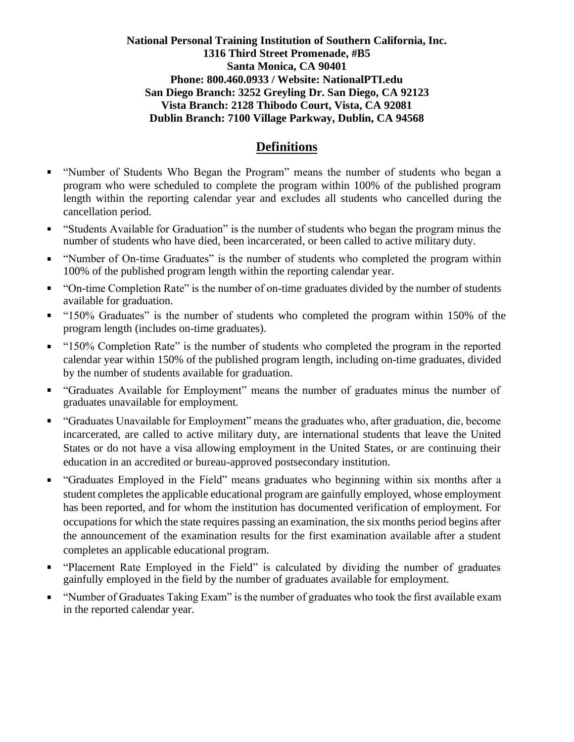## **Definitions**

- "Number of Students Who Began the Program" means the number of students who began a program who were scheduled to complete the program within 100% of the published program length within the reporting calendar year and excludes all students who cancelled during the cancellation period.
- "Students Available for Graduation" is the number of students who began the program minus the number of students who have died, been incarcerated, or been called to active military duty.
- "Number of On-time Graduates" is the number of students who completed the program within  $\blacksquare$ 100% of the published program length within the reporting calendar year.
- "On-time Completion Rate" is the number of on-time graduates divided by the number of students  $\blacksquare$ available for graduation.
- "150% Graduates" is the number of students who completed the program within 150% of the program length (includes on-time graduates).
- "150% Completion Rate" is the number of students who completed the program in the reported calendar year within 150% of the published program length, including on-time graduates, divided by the number of students available for graduation.
- "Graduates Available for Employment" means the number of graduates minus the number of graduates unavailable for employment.
- "Graduates Unavailable for Employment" means the graduates who, after graduation, die, become incarcerated, are called to active military duty, are international students that leave the United States or do not have a visa allowing employment in the United States, or are continuing their education in an accredited or bureau-approved postsecondary institution.
- "Graduates Employed in the Field" means graduates who beginning within six months after a student completes the applicable educational program are gainfully employed, whose employment has been reported, and for whom the institution has documented verification of employment. For occupations for which the state requires passing an examination, the six months period begins after the announcement of the examination results for the first examination available after a student completes an applicable educational program.
- " "Placement Rate Employed in the Field" is calculated by dividing the number of graduates gainfully employed in the field by the number of graduates available for employment.
- "Number of Graduates Taking Exam" is the number of graduates who took the first available exam in the reported calendar year.